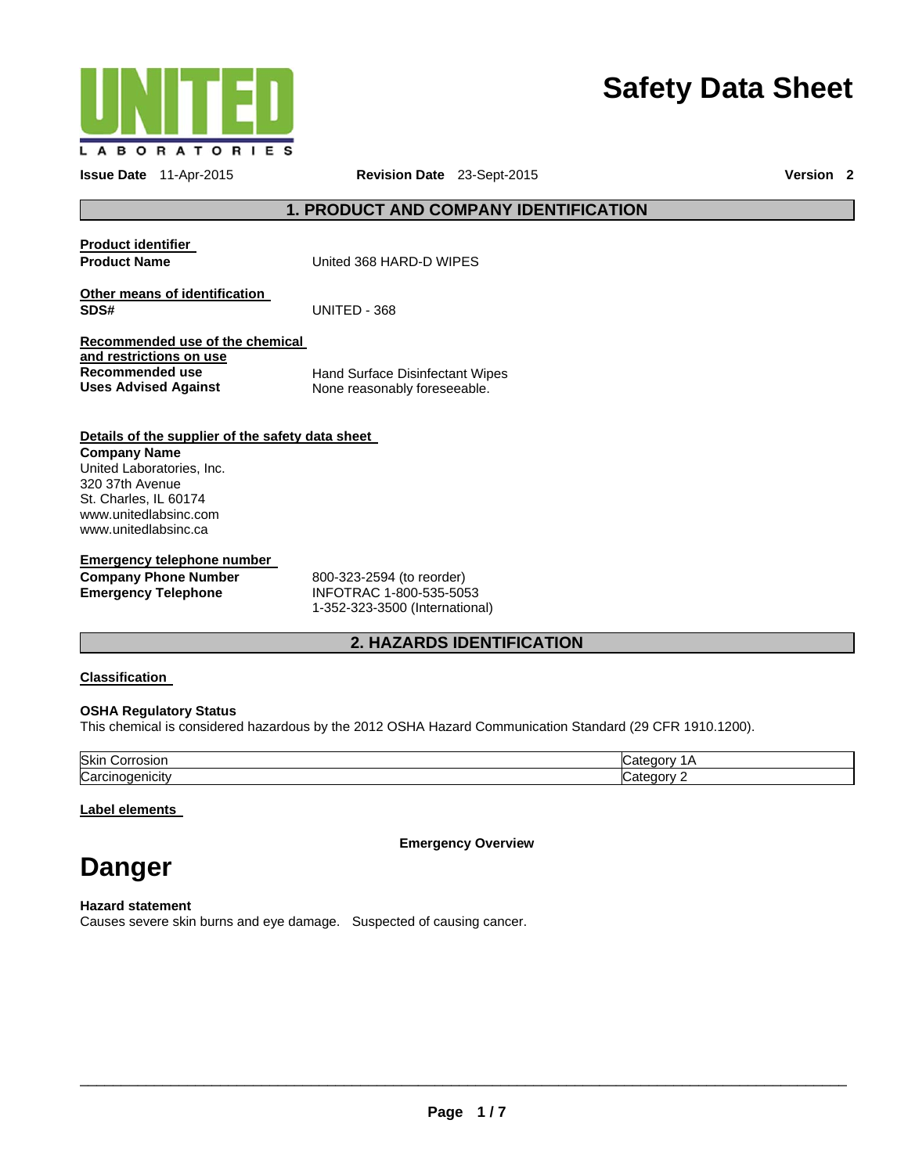

# **Safety Data Sheet**

**Issue Date** 11-Apr-2015 **Revision Date** 23-Sept-2015 **Version 2**

# **1. PRODUCT AND COMPANY IDENTIFICATION**

**Product identifier** 

**Product Name United 368 HARD-D WIPES** 

**Other means of identification SDS#** UNITED - 368

**Recommended use of the chemical and restrictions on use Recommended use Uses Advised Against** 

Hand Surface Disinfectant Wipes None reasonably foreseeable.

# **Details of the supplier of the safety data sheet**

**Company Name**  United Laboratories, Inc. 320 37th Avenue St. Charles, IL 60174 www.unitedlabsinc.com www.unitedlabsinc.ca

### **Emergency telephone number Company Phone Number**

**Emergency Telephone** 

800-323-2594 (to reorder) INFOTRAC 1-800-535-5053 1-352-323-3500 (International)

# **2. HAZARDS IDENTIFICATION**

# **Classification**

# **OSHA Regulatory Status**

This chemical is considered hazardous by the 2012 OSHA Hazard Communication Standard (29 CFR 1910.1200).

| Skin<br>$\cdots$<br>∍or'<br>າຣເບເ |  |
|-----------------------------------|--|
| $\sim$<br>lCar<br>. IICITY        |  |

# **Label elements**

**Emergency Overview** 

# **Danger**

**Hazard statement**  Causes severe skin burns and eye damage. Suspected of causing cancer.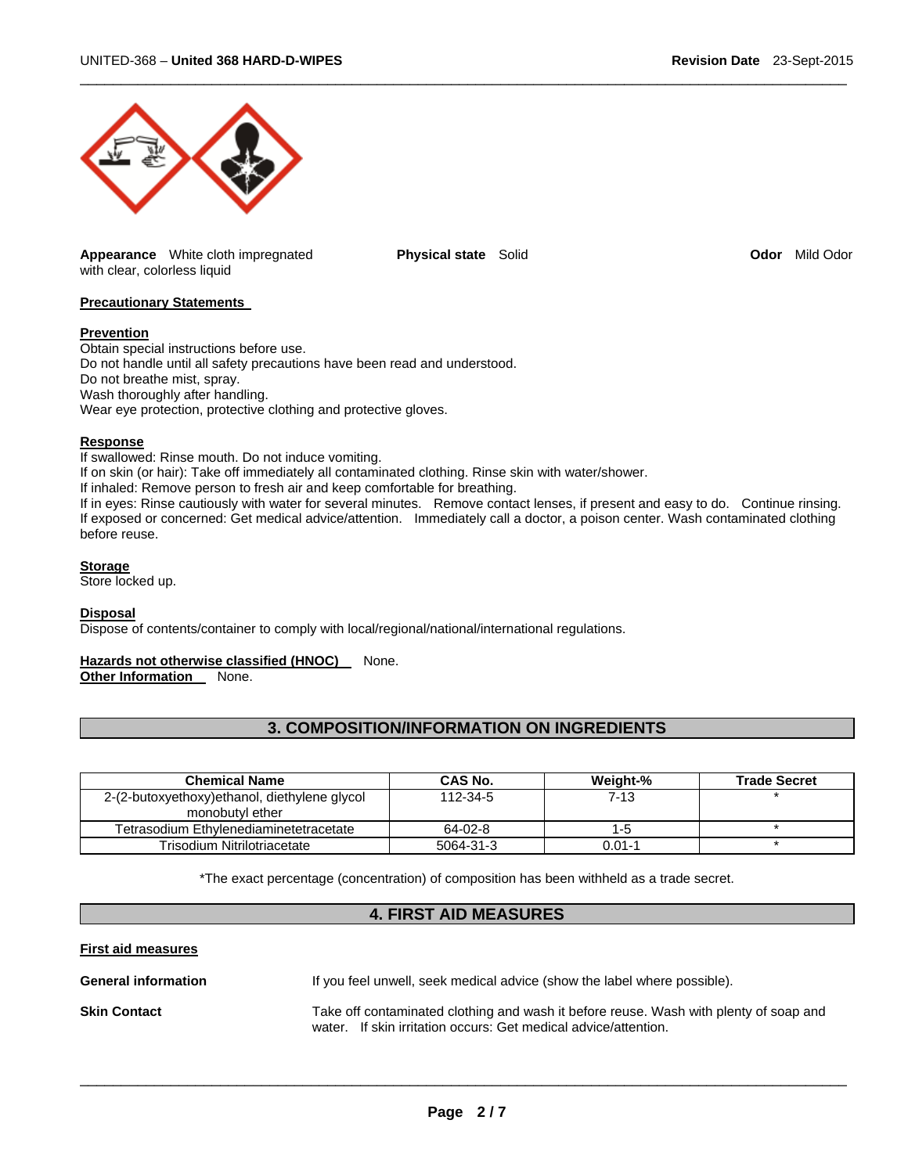

**Appearance** White cloth impregnated with clear, colorless liquid

**Physical state** Solid **Odor Mild Odor** *Mild Odor* **Odor Mild Odor** 

 $\Box$ 

# **Precautionary Statements**

#### **Prevention**

Obtain special instructions before use. Do not handle until all safety precautions have been read and understood. Do not breathe mist, spray. Wash thoroughly after handling. Wear eye protection, protective clothing and protective gloves.

#### **Response**

If swallowed: Rinse mouth. Do not induce vomiting.

If on skin (or hair): Take off immediately all contaminated clothing. Rinse skin with water/shower.

If inhaled: Remove person to fresh air and keep comfortable for breathing.

If in eyes: Rinse cautiously with water for several minutes. Remove contact lenses, if present and easy to do. Continue rinsing. If exposed or concerned: Get medical advice/attention. Immediately call a doctor, a poison center. Wash contaminated clothing before reuse.

#### **Storage**

Store locked up.

#### **Disposal**

Dispose of contents/container to comply with local/regional/national/international regulations.

#### Hazards not otherwise classified (HNOC) None.

**Other Information** None.

| <b>3. COMPOSITION/INFORMATION ON INGREDIENTS</b> |  |
|--------------------------------------------------|--|
|--------------------------------------------------|--|

| <b>Chemical Name</b>                         | CAS No.   | Weight-%   | <b>Trade Secret</b> |
|----------------------------------------------|-----------|------------|---------------------|
| 2-(2-butoxyethoxy)ethanol, diethylene glycol | 112-34-5  | $7-13$     |                     |
| monobutyl ether                              |           |            |                     |
| Tetrasodium Ethvlenediaminetetracetate       | 64-02-8   | 1-5        |                     |
| Trisodium Nitrilotriacetate                  | 5064-31-3 | $0.01 - 1$ |                     |

\*The exact percentage (concentration) of composition has been withheld as a trade secret.

# **4. FIRST AID MEASURES**

**First aid measures** 

| <b>General information</b> | If you feel unwell, seek medical advice (show the label where possible).             |  |
|----------------------------|--------------------------------------------------------------------------------------|--|
| <b>Skin Contact</b>        | Take off contaminated clothing and wash it before reuse. Wash with plenty of soap ar |  |

Take off contaminated clothing and wash it before reuse. Wash with plenty of soap and water. If skin irritation occurs: Get medical advice/attention.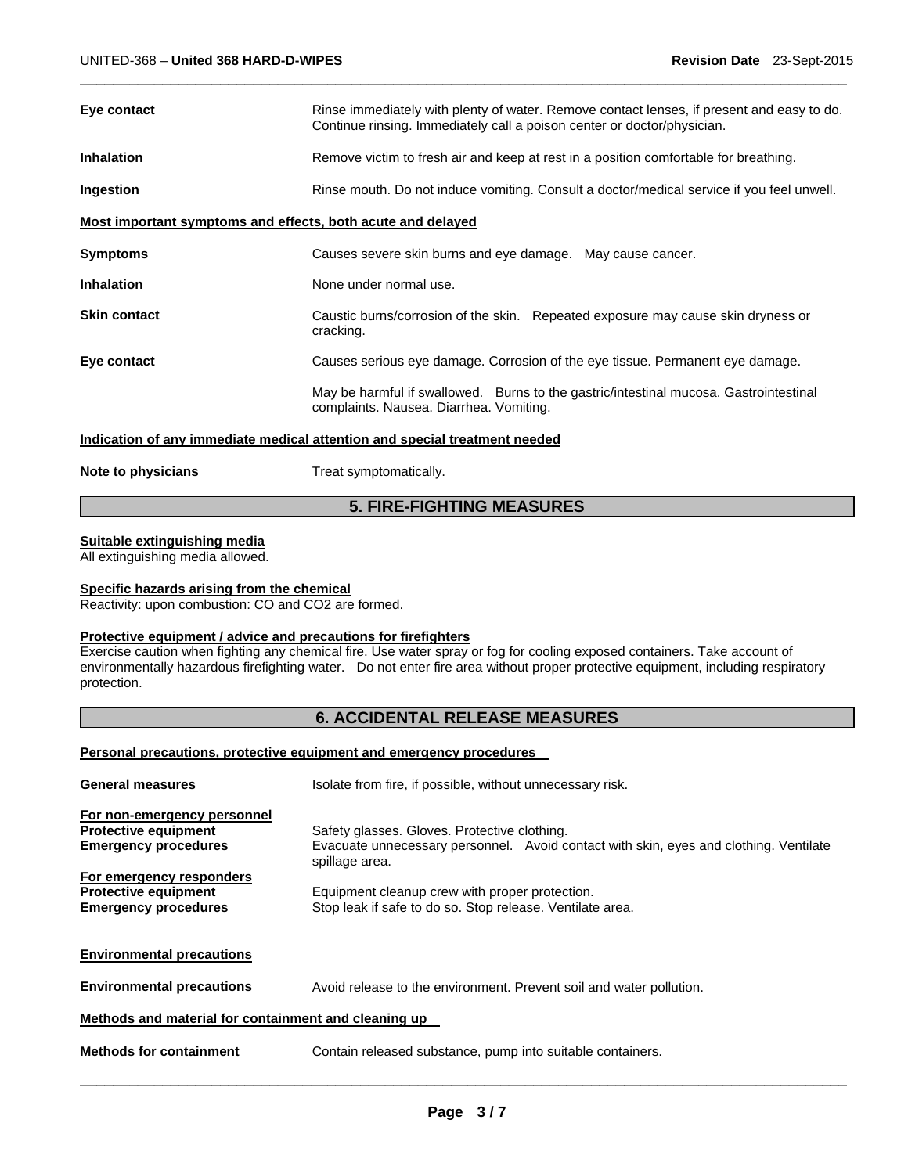| Eye contact                                                 | Rinse immediately with plenty of water. Remove contact lenses, if present and easy to do.<br>Continue rinsing. Immediately call a poison center or doctor/physician. |  |  |
|-------------------------------------------------------------|----------------------------------------------------------------------------------------------------------------------------------------------------------------------|--|--|
| <b>Inhalation</b>                                           | Remove victim to fresh air and keep at rest in a position comfortable for breathing.                                                                                 |  |  |
| Ingestion                                                   | Rinse mouth. Do not induce vomiting. Consult a doctor/medical service if you feel unwell.                                                                            |  |  |
| Most important symptoms and effects, both acute and delayed |                                                                                                                                                                      |  |  |
| <b>Symptoms</b>                                             | Causes severe skin burns and eye damage. May cause cancer.                                                                                                           |  |  |
| <b>Inhalation</b>                                           | None under normal use.                                                                                                                                               |  |  |
| <b>Skin contact</b>                                         | Caustic burns/corrosion of the skin. Repeated exposure may cause skin dryness or<br>cracking.                                                                        |  |  |
| Eye contact                                                 | Causes serious eye damage. Corrosion of the eye tissue. Permanent eye damage.                                                                                        |  |  |
|                                                             | May be harmful if swallowed. Burns to the gastric/intestinal mucosa. Gastrointestinal<br>complaints. Nausea. Diarrhea. Vomiting.                                     |  |  |
|                                                             | Indication of any immediate medical attention and special treatment needed                                                                                           |  |  |
| Note to physicians                                          | Treat symptomatically.                                                                                                                                               |  |  |

 $\Box$ 

# **5. FIRE-FIGHTING MEASURES**

# **Suitable extinguishing media**

All extinguishing media allowed.

## **Specific hazards arising from the chemical**

Reactivity: upon combustion: CO and CO2 are formed.

### **Protective equipment / advice and precautions for firefighters**

Exercise caution when fighting any chemical fire. Use water spray or fog for cooling exposed containers. Take account of environmentally hazardous firefighting water. Do not enter fire area without proper protective equipment, including respiratory protection.

# **6. ACCIDENTAL RELEASE MEASURES**

## **Personal precautions, protective equipment and emergency procedures**

| <b>General measures</b>                                                                   | Isolate from fire, if possible, without unnecessary risk.                                                                                               |  |  |
|-------------------------------------------------------------------------------------------|---------------------------------------------------------------------------------------------------------------------------------------------------------|--|--|
| For non-emergency personnel<br><b>Protective equipment</b><br><b>Emergency procedures</b> | Safety glasses. Gloves. Protective clothing.<br>Evacuate unnecessary personnel. Avoid contact with skin, eyes and clothing. Ventilate<br>spillage area. |  |  |
| For emergency responders<br><b>Protective equipment</b><br><b>Emergency procedures</b>    | Equipment cleanup crew with proper protection.<br>Stop leak if safe to do so. Stop release. Ventilate area.                                             |  |  |
| <b>Environmental precautions</b>                                                          |                                                                                                                                                         |  |  |
| <b>Environmental precautions</b>                                                          | Avoid release to the environment. Prevent soil and water pollution.                                                                                     |  |  |
| Methods and material for containment and cleaning up                                      |                                                                                                                                                         |  |  |
| <b>Methods for containment</b>                                                            | Contain released substance, pump into suitable containers.                                                                                              |  |  |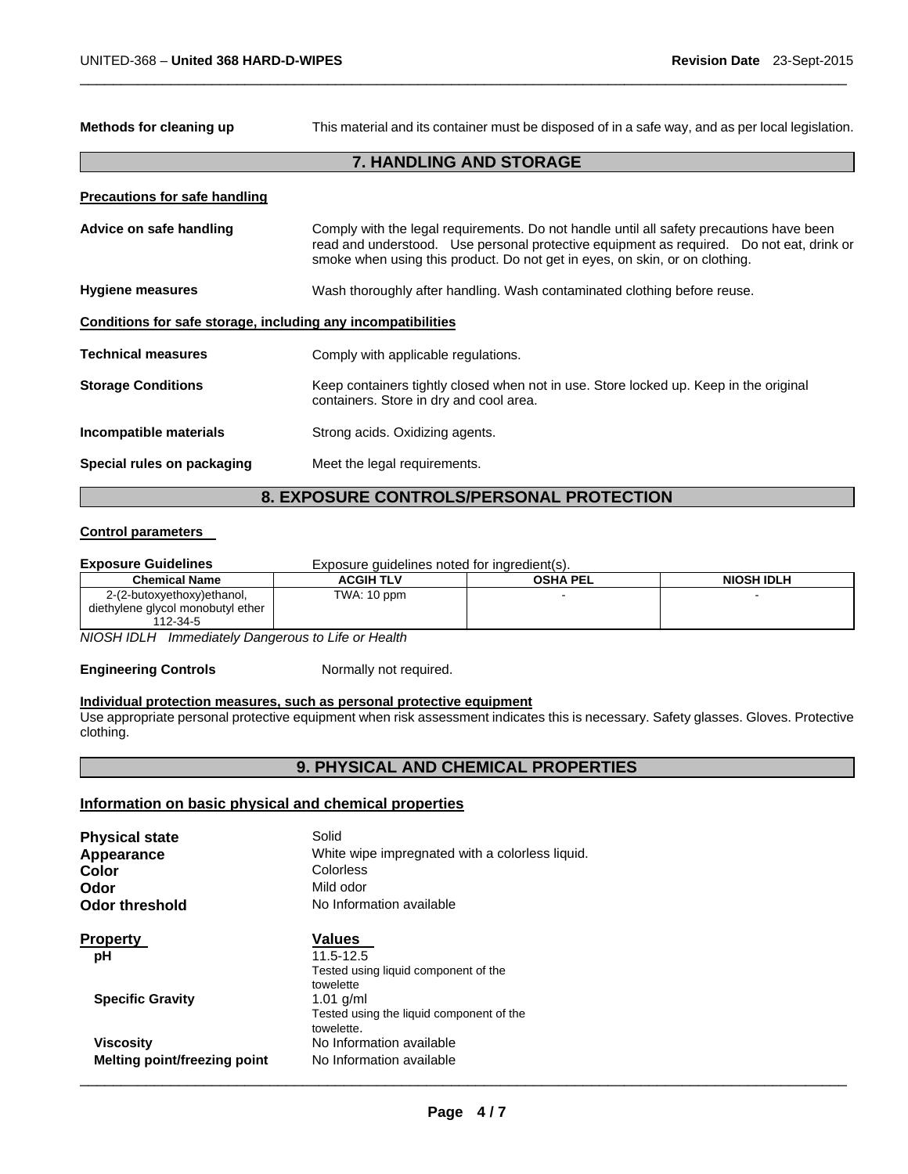**Methods for cleaning up** This material and its container must be disposed of in a safe way, and as per local legislation.

# **7. HANDLING AND STORAGE**

 $\Box$ 

| <b>Precautions for safe handling</b>                         |                                                                                                                                                                                                                                                                     |
|--------------------------------------------------------------|---------------------------------------------------------------------------------------------------------------------------------------------------------------------------------------------------------------------------------------------------------------------|
| Advice on safe handling                                      | Comply with the legal requirements. Do not handle until all safety precautions have been<br>read and understood. Use personal protective equipment as required. Do not eat, drink or<br>smoke when using this product. Do not get in eyes, on skin, or on clothing. |
| <b>Hygiene measures</b>                                      | Wash thoroughly after handling. Wash contaminated clothing before reuse.                                                                                                                                                                                            |
| Conditions for safe storage, including any incompatibilities |                                                                                                                                                                                                                                                                     |
| <b>Technical measures</b>                                    | Comply with applicable regulations.                                                                                                                                                                                                                                 |
| <b>Storage Conditions</b>                                    | Keep containers tightly closed when not in use. Store locked up. Keep in the original<br>containers. Store in dry and cool area.                                                                                                                                    |
| Incompatible materials                                       | Strong acids. Oxidizing agents.                                                                                                                                                                                                                                     |
| Special rules on packaging                                   | Meet the legal requirements.                                                                                                                                                                                                                                        |

# **8. EXPOSURE CONTROLS/PERSONAL PROTECTION**

### **Control parameters**

| <b>Exposure Guidelines</b>                                                  | Exposure guidelines noted for ingredient(s). |                 |                   |  |
|-----------------------------------------------------------------------------|----------------------------------------------|-----------------|-------------------|--|
| <b>Chemical Name</b>                                                        | <b>ACGIH TLV</b>                             | <b>OSHA PEL</b> | <b>NIOSH IDLH</b> |  |
| 2-(2-butoxyethoxy)ethanol,<br>diethylene glycol monobutyl ether<br>112-34-5 | TWA: 10 ppm                                  |                 |                   |  |

*NIOSH IDLH Immediately Dangerous to Life or Health* 

# **Engineering Controls** Normally not required.

# **Individual protection measures, such as personal protective equipment**

Use appropriate personal protective equipment when risk assessment indicates this is necessary. Safety glasses. Gloves. Protective clothing.

# **9. PHYSICAL AND CHEMICAL PROPERTIES**

# **Information on basic physical and chemical properties**

| <b>Physical state</b>               | Solid                                           |
|-------------------------------------|-------------------------------------------------|
| Appearance                          | White wipe impregnated with a colorless liquid. |
| Color                               | Colorless                                       |
| Odor                                | Mild odor                                       |
| <b>Odor threshold</b>               | No Information available                        |
| <b>Property</b>                     | <b>Values</b>                                   |
| рH                                  | 11.5-12.5                                       |
|                                     | Tested using liquid component of the            |
|                                     | towelette                                       |
| <b>Specific Gravity</b>             | $1.01$ g/ml                                     |
|                                     | Tested using the liquid component of the        |
|                                     | towelette.                                      |
| <b>Viscosity</b>                    | No Information available                        |
| <b>Melting point/freezing point</b> | No Information available                        |
|                                     |                                                 |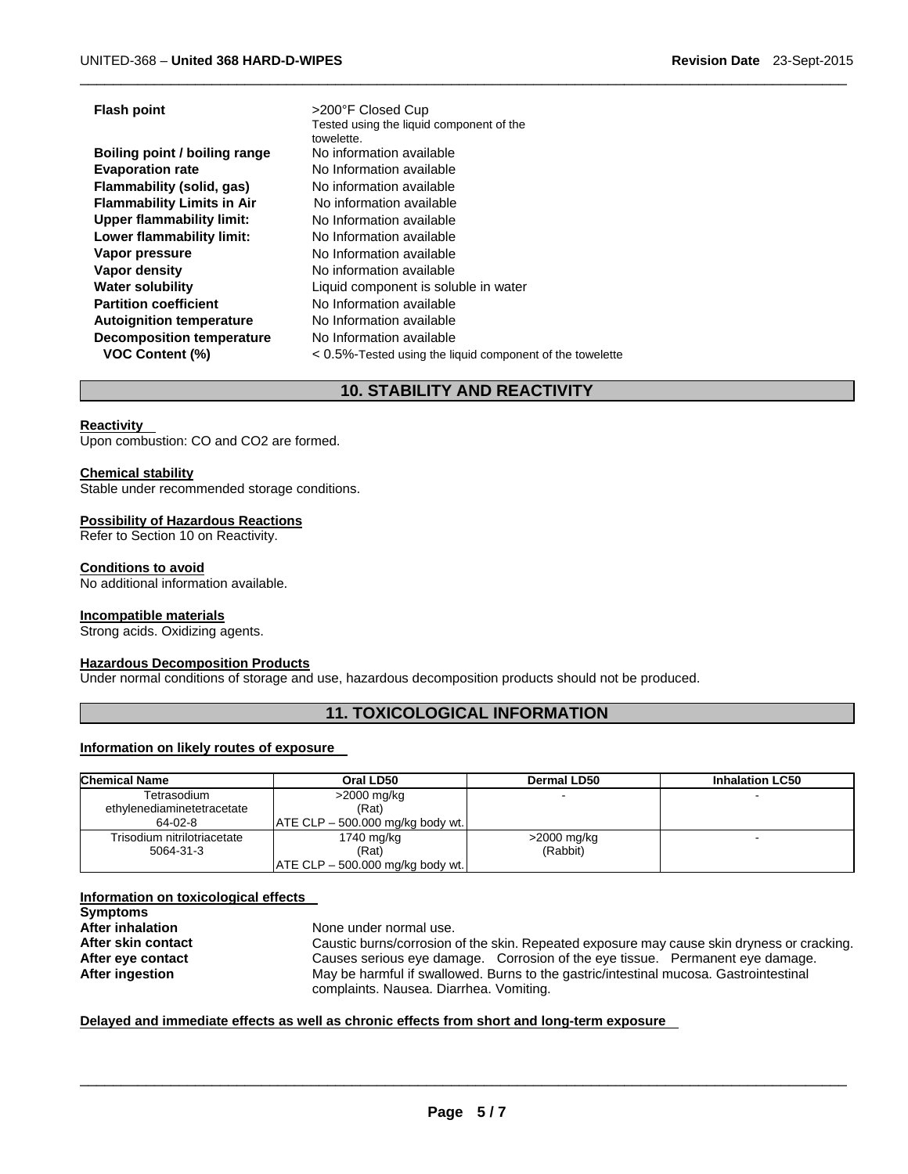| <b>Flash point</b>                | >200°F Closed Cup                                         |
|-----------------------------------|-----------------------------------------------------------|
|                                   | Tested using the liquid component of the                  |
|                                   | towelette.                                                |
| Boiling point / boiling range     | No information available                                  |
| <b>Evaporation rate</b>           | No Information available                                  |
| Flammability (solid, gas)         | No information available                                  |
| <b>Flammability Limits in Air</b> | No information available                                  |
| <b>Upper flammability limit:</b>  | No Information available                                  |
| Lower flammability limit:         | No Information available                                  |
| Vapor pressure                    | No Information available                                  |
| Vapor density                     | No information available                                  |
| <b>Water solubility</b>           | Liquid component is soluble in water                      |
| <b>Partition coefficient</b>      | No Information available                                  |
| <b>Autoignition temperature</b>   | No Information available                                  |
| <b>Decomposition temperature</b>  | No Information available                                  |
| <b>VOC Content (%)</b>            | < 0.5%-Tested using the liquid component of the towelette |

# **10. STABILITY AND REACTIVITY**

 $\Box$ 

#### **Reactivity**

Upon combustion: CO and CO2 are formed.

#### **Chemical stability**

Stable under recommended storage conditions.

#### **Possibility of Hazardous Reactions**

Refer to Section 10 on Reactivity.

#### **Conditions to avoid**

No additional information available.

#### **Incompatible materials**

Strong acids. Oxidizing agents.

#### **Hazardous Decomposition Products**

Under normal conditions of storage and use, hazardous decomposition products should not be produced.

# **11. TOXICOLOGICAL INFORMATION**

#### **Information on likely routes of exposure**

| <b>Chemical Name</b><br>Oral LD50 |                                     | Dermal LD50   | <b>Inhalation LC50</b> |  |
|-----------------------------------|-------------------------------------|---------------|------------------------|--|
| Tetrasodium                       | $>2000$ mg/kg                       |               |                        |  |
| ethylenediaminetetracetate        | (Rat)                               |               |                        |  |
| 64-02-8                           | $ ATE CLP - 500.000 mg/kg$ body wt. |               |                        |  |
| Trisodium nitrilotriacetate       | 1740 mg/kg                          | $>2000$ mg/kg |                        |  |
| 5064-31-3                         | (Rat)                               | (Rabbit)      |                        |  |
|                                   | ATE CLP - 500.000 mg/kg body wt.    |               |                        |  |

#### **Information on toxicological effects Symptoms After inhalation After skin contact**

**After eye contact After ingestion** 

None under normal use. Caustic burns/corrosion of the skin. Repeated exposure may cause skin dryness or cracking. Causes serious eye damage. Corrosion of the eye tissue. Permanent eye damage. May be harmful if swallowed. Burns to the gastric/intestinal mucosa. Gastrointestinal complaints. Nausea. Diarrhea. Vomiting.

# **Delayed and immediate effects as well as chronic effects from short and long-term exposure**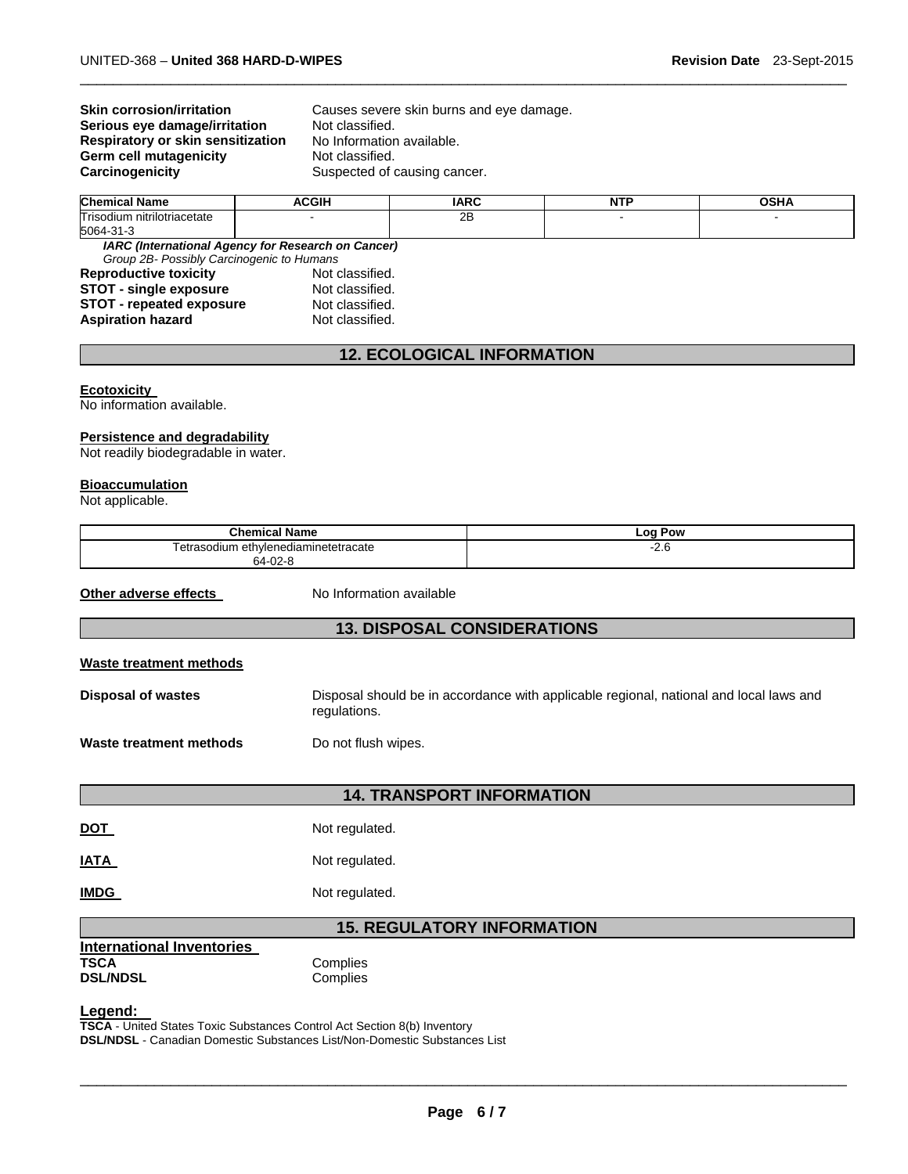# **Skin corrosion/irritation Serious eye damage/irritation Respiratory or skin sensitization Germ cell mutagenicity**<br>Carcinogenicity

Causes severe skin burns and eye damage. Not classified. No Information available.<br>Not classified. Suspected of causing cancer.

| Chem<br>Name                           | <b>CGIH</b> | IADC<br>. . | <b>NTF</b> | ~~··· |
|----------------------------------------|-------------|-------------|------------|-------|
| Triso.<br>. tium<br>⊦nitrilotriacetate |             | oπ<br>20    |            |       |
| 5064-<br>- ا د                         |             |             |            |       |

 $\Box$ 

*IARC (International Agency for Research on Cancer) Group 2B- Possibly Carcinogenic to Humans*  **Reproductive toxicity STOT - single exposure The STOT - single exposure CONTER STOT - Not classified. STOT - repeated exposure COVENTS Aspiration hazard COVENTS Association Not classified. Aspiration hazard** 

# **12. ECOLOGICAL INFORMATION**

### **Ecotoxicity**

No information available.

# **Persistence and degradability**

Not readily biodegradable in water.

#### **Bioaccumulation**

Not applicable.

| <b>Chemical Name</b>                                               |                          | <b>Log Pow</b>                                                                         |  |  |  |  |
|--------------------------------------------------------------------|--------------------------|----------------------------------------------------------------------------------------|--|--|--|--|
| Tetrasodium ethylenediaminetetracate<br>64-02-8                    |                          | $-2.6$                                                                                 |  |  |  |  |
|                                                                    |                          |                                                                                        |  |  |  |  |
| Other adverse effects                                              | No Information available |                                                                                        |  |  |  |  |
| <b>13. DISPOSAL CONSIDERATIONS</b>                                 |                          |                                                                                        |  |  |  |  |
| Waste treatment methods                                            |                          |                                                                                        |  |  |  |  |
| <b>Disposal of wastes</b>                                          | regulations.             | Disposal should be in accordance with applicable regional, national and local laws and |  |  |  |  |
| <b>Waste treatment methods</b>                                     | Do not flush wipes.      |                                                                                        |  |  |  |  |
|                                                                    |                          | <b>14. TRANSPORT INFORMATION</b>                                                       |  |  |  |  |
| <u>DOT</u>                                                         | Not regulated.           |                                                                                        |  |  |  |  |
| IATA                                                               | Not regulated.           |                                                                                        |  |  |  |  |
| <b>IMDG</b>                                                        | Not regulated.           |                                                                                        |  |  |  |  |
| <b>15. REGULATORY INFORMATION</b>                                  |                          |                                                                                        |  |  |  |  |
| <b>International Inventories</b><br><b>TSCA</b><br><b>DSL/NDSL</b> | Complies<br>Complies     |                                                                                        |  |  |  |  |
| $\mathbf{I}$ . The second state $\mathbf{I}$                       |                          |                                                                                        |  |  |  |  |

**Legend: TSCA** - United States Toxic Substances Control Act Section 8(b) Inventory **DSL/NDSL** - Canadian Domestic Substances List/Non-Domestic Substances List